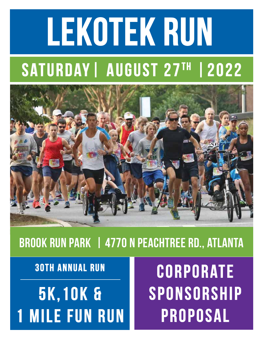# LEKOTEK RUN SATURDAY | AUGUST 27TH | 2022



# Brook Run Park | 4770 N Peachtree Rd., Atlanta

30th Annual Run

5k,10k & **MILE FUN RUN** 

**CORPORATE** SPONSORSHIP Proposal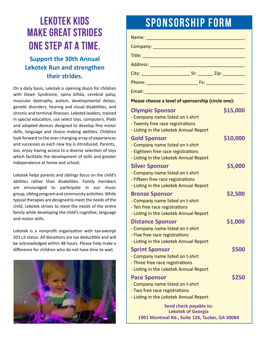# Lekotek kids make great strides one step at a time.

#### **Support the 30th Annual Lekotek Run and strengthen their strides.**

On a daily basis, Lekotek is opening doors for children with Down Syndrome, spina bifida, cerebral palsy, muscular dystrophy, autism, developmental delays, genetic disorders, hearing and visual disabilities, and chronic and terminal illnesses. Lekotek leaders, trained in special education, use select toys, computers, iPads and adapted devices designed to develop fine motor skills, language and choice making abilities. Children look forward to the ever-changing array of experiences and successes as each new toy is introduced. Parents, too, enjoy having access to a diverse selection of toys which facilitate the development of skills and greater independence at home and school.

Lekotek helps parents and siblings focus on the child's abilities rather than disabilities. Family members are encouraged to participate in our music group, sibling program and community activities. While typical therapies are designed to meet the needs of the child, Lekotek strives to meet the needs of the entire family while developing the child's cognitive, language and motor skills.

Lekotek is a nonprofit organization with tax-exempt 501 c3 status. All donations are tax deductible and will be acknowledged within 48 hours. Please help make a difference for children who do not have time to wait.



# SPONSORSHIP FORM

| Name: 1990 - 1990 - 1990 - 1990 - 1991 - 1992 - 1993 - 1994 - 1994 - 1994 - 1994 - 1994 - 1994 - 1994 - 1995 - |  |  |
|----------------------------------------------------------------------------------------------------------------|--|--|
|                                                                                                                |  |  |
|                                                                                                                |  |  |
|                                                                                                                |  |  |
|                                                                                                                |  |  |
|                                                                                                                |  |  |
| Email: 2008 2010 2021 2022 2023 2024 2022 2022 2023 2024 2022 2023 2024 2022 2023 2024 2022 2023 2024 2025 20  |  |  |
| Please choose a level of sponsorship (circle one):                                                             |  |  |

#### **Olympic Sponsor \$15,000** - Company name listed on t-shirt - Twenty free race registrations - Listing in the Lekotek Annual Report **Gold Sponsor \$10,000** - Company name listed on t-shirt - Eighteen free race registrations - Listing in the Lekotek Annual Report **Silver Sponsor** \$5,000 - Company name listed on t-shirt - Fifteen free race registrations - Listing in the Lekotek Annual Report **Bronze Sponsor \$2,500** - Company name listed on t-shirt - Ten free race registrations - Listing in the Lekotek Annual Report **Distance Sponsor \$1,000** - Company name listed on t-shirt - Five free race registrations - Listing in the Lekotek Annual Report **Sprint Sponsor \$500** - Company name listed on t-shirt - Three free race registrations - Listing in the Lekotek Annual Report **Pace Sponsor \$250** - Company name listed on t-shirt - Two free race registrations - Listing in the Lekotek Annual Report **Send check payable to: Lekotek of Georgia**

**1901 Montreal Rd., Suite 126, Tucker, GA 30084**